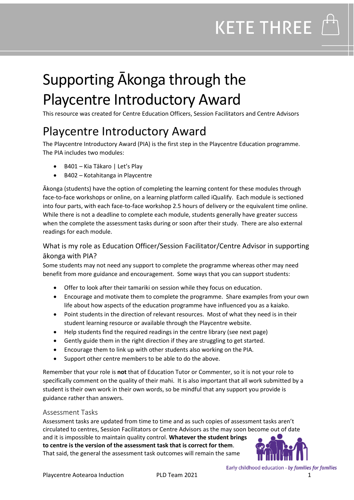### Supporting Ākonga through the Playcentre Introductory Award

This resource was created for Centre Education Officers, Session Facilitators and Centre Advisors

### Playcentre Introductory Award

The Playcentre Introductory Award (PIA) is the first step in the Playcentre Education programme. The PIA includes two modules:

- B401 Kia Tākaro | Let's Play
- B402 Kotahitanga in Playcentre

Ākonga (students) have the option of completing the learning content for these modules through face-to-face workshops or online, on a learning platform called iQualify. Each module is sectioned into four parts, with each face-to-face workshop 2.5 hours of delivery or the equivalent time online. While there is not a deadline to complete each module, students generally have greater success when the complete the assessment tasks during or soon after their study. There are also external readings for each module.

#### What is my role as Education Officer/Session Facilitator/Centre Advisor in supporting ākonga with PIA?

Some students may not need any support to complete the programme whereas other may need benefit from more guidance and encouragement. Some ways that you can support students:

- Offer to look after their tamariki on session while they focus on education.
- Encourage and motivate them to complete the programme. Share examples from your own life about how aspects of the education programme have influenced you as a kaiako.
- Point students in the direction of relevant resources. Most of what they need is in their student learning resource or available through the Playcentre website.
- Help students find the required readings in the centre library (see next page)
- Gently guide them in the right direction if they are struggling to get started.
- Encourage them to link up with other students also working on the PIA.
- Support other centre members to be able to do the above.

Remember that your role is **not** that of Education Tutor or Commenter, so it is not your role to specifically comment on the quality of their mahi. It is also important that all work submitted by a student is their own work in their own words, so be mindful that any support you provide is guidance rather than answers.

#### Assessment Tasks

Assessment tasks are updated from time to time and as such copies of assessment tasks aren't circulated to centres, Session Facilitators or Centre Advisors as the may soon become out of date and it is impossible to maintain quality control. **Whatever the student brings to centre is the version of the assessment task that is correct for them**. That said, the general the assessment task outcomes will remain the same



Early childhood education - by families for families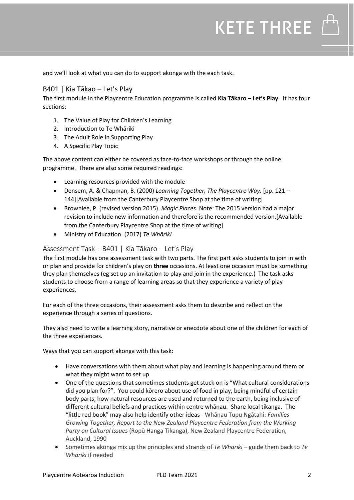and we'll look at what you can do to support ākonga with the each task.

#### B401 | Kia Tākao – Let's Play

The first module in the Playcentre Education programme is called **Kia Tākaro – Let's Play**. It has four sections:

- 1. The Value of Play for Children's Learning
- 2. Introduction to Te Whāriki
- 3. The Adult Role in Supporting Play
- 4. A Specific Play Topic

The above content can either be covered as face-to-face workshops or through the online programme. There are also some required readings:

- Learning resources provided with the module
- Densem, A. & Chapman, B. (2000) *Learning Together, The Playcentre Way.* [pp. 121 144][Available from the Canterbury Playcentre Shop at the time of writing]
- Brownlee, P. (revised version 2015). *Magic Places*. Note: The 2015 version had a major revision to include new information and therefore is the recommended version.[Available from the Canterbury Playcentre Shop at the time of writing]
- Ministry of Education. (2017) *Te Whāriki*

#### Assessment Task – B401 | Kia Tākaro – Let's Play

The first module has one assessment task with two parts. The first part asks students to join in with or plan and provide for children's play on **three** occasions. At least one occasion must be something they plan themselves (eg set up an invitation to play and join in the experience.) The task asks students to choose from a range of learning areas so that they experience a variety of play experiences.

For each of the three occasions, their assessment asks them to describe and reflect on the experience through a series of questions.

They also need to write a learning story, narrative or anecdote about one of the children for each of the three experiences.

Ways that you can support ākonga with this task:

- Have conversations with them about what play and learning is happening around them or what they might want to set up
- One of the questions that sometimes students get stuck on is "What cultural considerations did you plan for?". You could kōrero about use of food in play, being mindful of certain body parts, how natural resources are used and returned to the earth, being inclusive of different cultural beliefs and practices within centre whānau. Share local tikanga. The "little red book" may also help identify other ideas - Whānau Tupu Ngātahi: *Families Growing Together, Report to the New Zealand Playcentre Federation from the Working Party on Cultural Issues* (Ropū Hanga Tikanga), New Zealand Playcentre Federation, Auckland, 1990
- Sometimes ākonga mix up the principles and strands of *Te Whāriki* guide them back to *Te Whāriki* if needed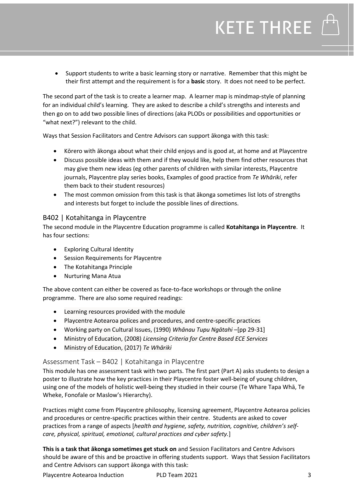• Support students to write a basic learning story or narrative. Remember that this might be their first attempt and the requirement is for a **basic** story. It does not need to be perfect.

The second part of the task is to create a learner map. A learner map is mindmap-style of planning for an individual child's learning. They are asked to describe a child's strengths and interests and then go on to add two possible lines of directions (aka PLODs or possibilities and opportunities or "what next?") relevant to the child.

Ways that Session Facilitators and Centre Advisors can support ākonga with this task:

- Kōrero with ākonga about what their child enjoys and is good at, at home and at Playcentre
- Discuss possible ideas with them and if they would like, help them find other resources that may give them new ideas (eg other parents of children with similar interests, Playcentre journals, Playcentre play series books, Examples of good practice from *Te Whāriki*, refer them back to their student resources)
- The most common omission from this task is that ākonga sometimes list lots of strengths and interests but forget to include the possible lines of directions.

#### B402 | Kotahitanga in Playcentre

The second module in the Playcentre Education programme is called **Kotahitanga in Playcentre**. It has four sections:

- Exploring Cultural Identity
- Session Requirements for Playcentre
- The Kotahitanga Principle
- Nurturing Mana Atua

The above content can either be covered as face-to-face workshops or through the online programme. There are also some required readings:

- Learning resources provided with the module
- Playcentre Aotearoa polices and procedures, and centre-specific practices
- Working party on Cultural Issues, (1990) *Whānau Tupu Ngātahi* –[pp 29-31]
- Ministry of Education, (2008) *Licensing Criteria for Centre Based ECE Services*
- Ministry of Education, (2017) *Te Whāriki*

#### Assessment Task – B402 | Kotahitanga in Playcentre

This module has one assessment task with two parts. The first part (Part A) asks students to design a poster to illustrate how the key practices in their Playcentre foster well-being of young children, using one of the models of holistic well-being they studied in their course (Te Whare Tapa Whā, Te Wheke, Fonofale or Maslow's Hierarchy).

Practices might come from Playcentre philosophy, licensing agreement, Playcentre Aotearoa policies and procedures or centre-specific practices within their centre. Students are asked to cover practices from a range of aspects [*health and hygiene, safety, nutrition, cognitive, children's selfcare, physical, spiritual, emotional, cultural practices and cyber safety.*]

**This is a task that ākonga sometimes get stuck on** and Session Facilitators and Centre Advisors should be aware of this and be proactive in offering students support. Ways that Session Facilitators and Centre Advisors can support ākonga with this task: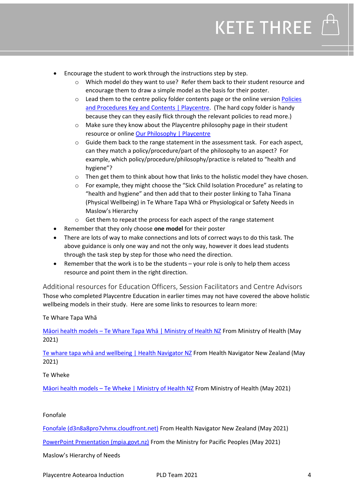- Encourage the student to work through the instructions step by step.
	- o Which model do they want to use? Refer them back to their student resource and encourage them to draw a simple model as the basis for their poster.
	- $\circ$  Lead them to the centre policy folder contents page or the online version Policies [and Procedures Key and Contents | Playcentre.](https://www.playcentre.org.nz/centre-resources/policies-and-procedures/key-and-contents/) (The hard copy folder is handy because they can they easily flick through the relevant policies to read more.)
	- o Make sure they know about the Playcentre philosophy page in their student resource or online [Our Philosophy | Playcentre](https://www.playcentre.org.nz/centre-resources/organisation-info/our-philosophy/)
	- o Guide them back to the range statement in the assessment task. For each aspect, can they match a policy/procedure/part of the philosophy to an aspect? For example, which policy/procedure/philosophy/practice is related to "health and hygiene"?
	- o Then get them to think about how that links to the holistic model they have chosen.
	- o For example, they might choose the "Sick Child Isolation Procedure" as relating to "health and hygiene" and then add that to their poster linking to Taha Tinana (Physical Wellbeing) in Te Whare Tapa Whā or Physiological or Safety Needs in Maslow's Hierarchy
	- o Get them to repeat the process for each aspect of the range statement
- Remember that they only choose **one model** for their poster
- There are lots of way to make connections and lots of correct ways to do this task. The above guidance is only one way and not the only way, however it does lead students through the task step by step for those who need the direction.
- Remember that the work is to be the students your role is only to help them access resource and point them in the right direction.

Additional resources for Education Officers, Session Facilitators and Centre Advisors Those who completed Playcentre Education in earlier times may not have covered the above holistic wellbeing models in their study. Here are some links to resources to learn more:

#### Te Whare Tapa Whā

Māori health models – [Te Whare Tapa Whā | Ministry of Health NZ](https://www.health.govt.nz/our-work/populations/maori-health/maori-health-models/maori-health-models-te-whare-tapa-wha) From Ministry of Health (May 2021)

[Te whare tapa whā and wellbeing | Health Navigator NZ](https://www.healthnavigator.org.nz/healthy-living/t/te-whare-tapa-wh%C4%81-and-wellbeing/) From Health Navigator New Zealand (May 2021)

#### Te Wheke

Māori health models – [Te Wheke | Ministry of Health NZ](https://www.health.govt.nz/our-work/populations/maori-health/maori-health-models/maori-health-models-te-wheke) From Ministry of Health (May 2021)

#### Fonofale

[Fonofale \(d3n8a8pro7vhmx.cloudfront.net\)](https://d3n8a8pro7vhmx.cloudfront.net/actionpoint/pages/437/attachments/original/1534408956/Fonofalemodelexplanation.pdf?1534408956) From Health Navigator New Zealand (May 2021)

[PowerPoint Presentation \(mpia.govt.nz\)](https://www.mpia.govt.nz/assets/Resources/Fonofale-presentation-to-Pacific-Wellbeing-Talanoa-May-2021.pdf) From the Ministry for Pacific Peoples (May 2021)

Maslow's Hierarchy of Needs